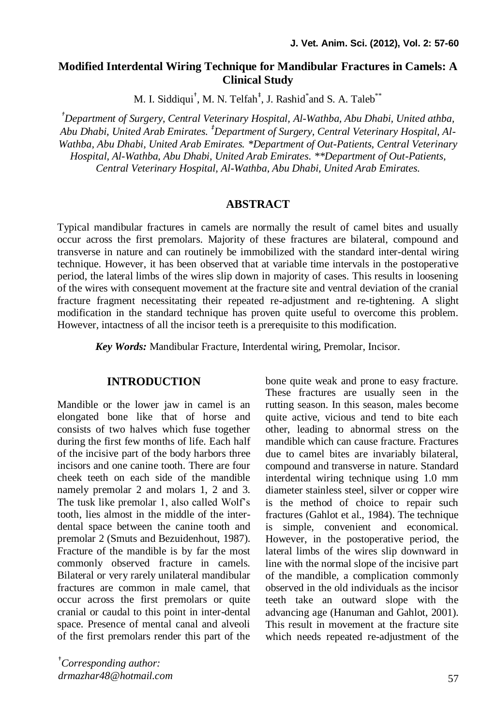## **Modified Interdental Wiring Technique for Mandibular Fractures in Camels: A Clinical Study**

M. I. Siddiqui<sup>†</sup>, M. N. Telfah<sup>‡</sup>, J. Rashid<sup>\*</sup>and S. A. Taleb<sup>\*\*</sup>

*†Department of Surgery, Central Veterinary Hospital, Al-Wathba, Abu Dhabi, United athba, Abu Dhabi, United Arab Emirates. ‡Department of Surgery, Central Veterinary Hospital, Al-Wathba, Abu Dhabi, United Arab Emirates. \*Department of Out-Patients, Central Veterinary Hospital, Al-Wathba, Abu Dhabi, United Arab Emirates. \*\*Department of Out-Patients, Central Veterinary Hospital, Al-Wathba, Abu Dhabi, United Arab Emirates.*

### **ABSTRACT**

Typical mandibular fractures in camels are normally the result of camel bites and usually occur across the first premolars. Majority of these fractures are bilateral, compound and transverse in nature and can routinely be immobilized with the standard inter-dental wiring technique. However, it has been observed that at variable time intervals in the postoperative period, the lateral limbs of the wires slip down in majority of cases. This results in loosening of the wires with consequent movement at the fracture site and ventral deviation of the cranial fracture fragment necessitating their repeated re-adjustment and re-tightening. A slight modification in the standard technique has proven quite useful to overcome this problem. However, intactness of all the incisor teeth is a prerequisite to this modification.

*Key Words:* Mandibular Fracture, Interdental wiring, Premolar, Incisor.

### **INTRODUCTION**

Mandible or the lower jaw in camel is an elongated bone like that of horse and consists of two halves which fuse together during the first few months of life. Each half of the incisive part of the body harbors three incisors and one canine tooth. There are four cheek teeth on each side of the mandible namely premolar 2 and molars 1, 2 and 3. The tusk like premolar 1, also called Wolf's tooth, lies almost in the middle of the interdental space between the canine tooth and premolar 2 (Smuts and Bezuidenhout, 1987). Fracture of the mandible is by far the most commonly observed fracture in camels. Bilateral or very rarely unilateral mandibular fractures are common in male camel, that occur across the first premolars or quite cranial or caudal to this point in inter-dental space. Presence of mental canal and alveoli of the first premolars render this part of the

†*Corresponding author: [drmazhar48@hotmail.com](mailto:drmazhar48@hotmail.com)* bone quite weak and prone to easy fracture. These fractures are usually seen in the rutting season. In this season, males become quite active, vicious and tend to bite each other, leading to abnormal stress on the mandible which can cause fracture. Fractures due to camel bites are invariably bilateral, compound and transverse in nature. Standard interdental wiring technique using 1.0 mm diameter stainless steel, silver or copper wire is the method of choice to repair such fractures (Gahlot et al., 1984). The technique is simple, convenient and economical. However, in the postoperative period, the lateral limbs of the wires slip downward in line with the normal slope of the incisive part of the mandible, a complication commonly observed in the old individuals as the incisor teeth take an outward slope with the advancing age (Hanuman and Gahlot, 2001). This result in movement at the fracture site which needs repeated re-adjustment of the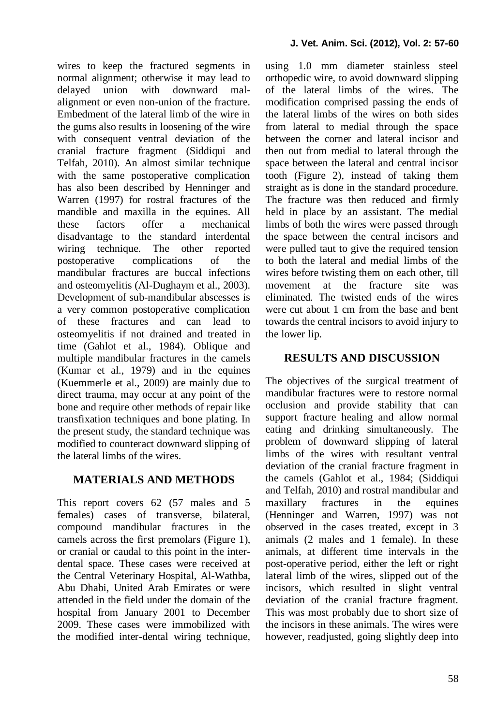wires to keep the fractured segments in normal alignment; otherwise it may lead to delayed union with downward malalignment or even non-union of the fracture. Embedment of the lateral limb of the wire in the gums also results in loosening of the wire with consequent ventral deviation of the cranial fracture fragment (Siddiqui and Telfah, 2010). An almost similar technique with the same postoperative complication has also been described by Henninger and Warren (1997) for rostral fractures of the mandible and maxilla in the equines. All these factors offer a mechanical disadvantage to the standard interdental wiring technique. The other reported postoperative complications of the mandibular fractures are buccal infections and osteomyelitis (Al-Dughaym et al., 2003). Development of sub-mandibular abscesses is a very common postoperative complication of these fractures and can lead to osteomyelitis if not drained and treated in time (Gahlot et al., 1984). Oblique and multiple mandibular fractures in the camels (Kumar et al., 1979) and in the equines (Kuemmerle et al., 2009) are mainly due to direct trauma, may occur at any point of the bone and require other methods of repair like transfixation techniques and bone plating. In the present study, the standard technique was modified to counteract downward slipping of the lateral limbs of the wires.

# **MATERIALS AND METHODS**

This report covers 62 (57 males and 5 females) cases of transverse, bilateral, compound mandibular fractures in the camels across the first premolars (Figure 1), or cranial or caudal to this point in the interdental space. These cases were received at the Central Veterinary Hospital, Al-Wathba, Abu Dhabi, United Arab Emirates or were attended in the field under the domain of the hospital from January 2001 to December 2009. These cases were immobilized with the modified inter-dental wiring technique, using 1.0 mm diameter stainless steel orthopedic wire, to avoid downward slipping of the lateral limbs of the wires. The modification comprised passing the ends of the lateral limbs of the wires on both sides from lateral to medial through the space between the corner and lateral incisor and then out from medial to lateral through the space between the lateral and central incisor tooth (Figure 2), instead of taking them straight as is done in the standard procedure. The fracture was then reduced and firmly held in place by an assistant. The medial limbs of both the wires were passed through the space between the central incisors and were pulled taut to give the required tension to both the lateral and medial limbs of the wires before twisting them on each other, till movement at the fracture site was eliminated. The twisted ends of the wires were cut about 1 cm from the base and bent towards the central incisors to avoid injury to the lower lip.

## **RESULTS AND DISCUSSION**

The objectives of the surgical treatment of mandibular fractures were to restore normal occlusion and provide stability that can support fracture healing and allow normal eating and drinking simultaneously. The problem of downward slipping of lateral limbs of the wires with resultant ventral deviation of the cranial fracture fragment in the camels (Gahlot et al., 1984; (Siddiqui and Telfah, 2010) and rostral mandibular and maxillary fractures in the equines (Henninger and Warren, 1997) was not observed in the cases treated, except in 3 animals (2 males and 1 female). In these animals, at different time intervals in the post-operative period, either the left or right lateral limb of the wires, slipped out of the incisors, which resulted in slight ventral deviation of the cranial fracture fragment. This was most probably due to short size of the incisors in these animals. The wires were however, readjusted, going slightly deep into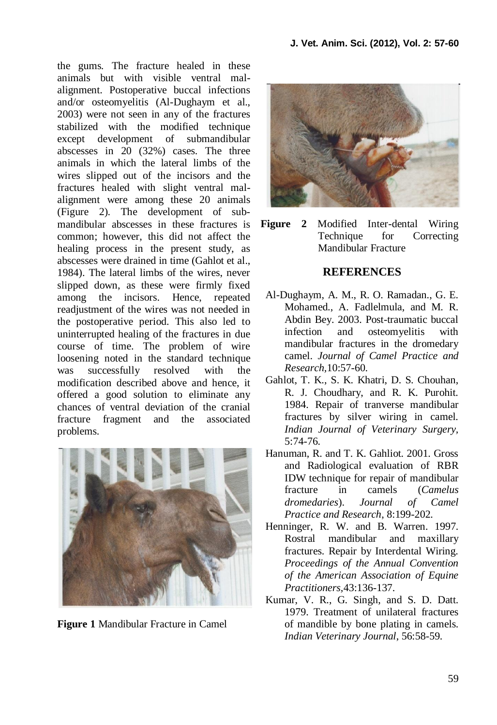the gums. The fracture healed in these animals but with visible ventral malalignment. Postoperative buccal infections and/or osteomyelitis (Al-Dughaym et al., 2003) were not seen in any of the fractures stabilized with the modified technique except development of submandibular abscesses in 20 (32%) cases. The three animals in which the lateral limbs of the wires slipped out of the incisors and the fractures healed with slight ventral malalignment were among these 20 animals (Figure 2). The development of submandibular abscesses in these fractures is common; however, this did not affect the healing process in the present study, as abscesses were drained in time (Gahlot et al., 1984). The lateral limbs of the wires, never slipped down, as these were firmly fixed among the incisors. Hence, repeated readjustment of the wires was not needed in the postoperative period. This also led to uninterrupted healing of the fractures in due course of time. The problem of wire loosening noted in the standard technique was successfully resolved with the modification described above and hence, it offered a good solution to eliminate any chances of ventral deviation of the cranial fracture fragment and the associated problems.



**Figure 1** Mandibular Fracture in Camel



**Figure 2** Modified Inter-dental Wiring Technique for Correcting Mandibular Fracture

### **REFERENCES**

- Al-Dughaym, A. M., R. O. Ramadan., G. E. Mohamed., A. Fadlelmula, and M. R. Abdin Bey. 2003. Post-traumatic buccal infection and osteomyelitis with mandibular fractures in the dromedary camel. *Journal of Camel Practice and Research,*10:57-60.
- Gahlot, T. K., S. K. Khatri, D. S. Chouhan, R. J. Choudhary, and R. K. Purohit. 1984. Repair of tranverse mandibular fractures by silver wiring in camel. *Indian Journal of Veterinary Surgery,* 5:74-76.
- Hanuman, R. and T. K. Gahliot. 2001. Gross and Radiological evaluation of RBR IDW technique for repair of mandibular fracture in camels (*Camelus dromedaries*). *Journal of Camel Practice and Research*, 8:199-202.
- Henninger, R. W. and B. Warren. 1997. Rostral mandibular and maxillary fractures. Repair by Interdental Wiring. *Proceedings of the Annual Convention of the American Association of Equine Practitioners,*43:136-137.
- Kumar, V. R., G. Singh, and S. D. Datt. 1979. Treatment of unilateral fractures of mandible by bone plating in camels. *Indian Veterinary Journal*, 56:58-59.